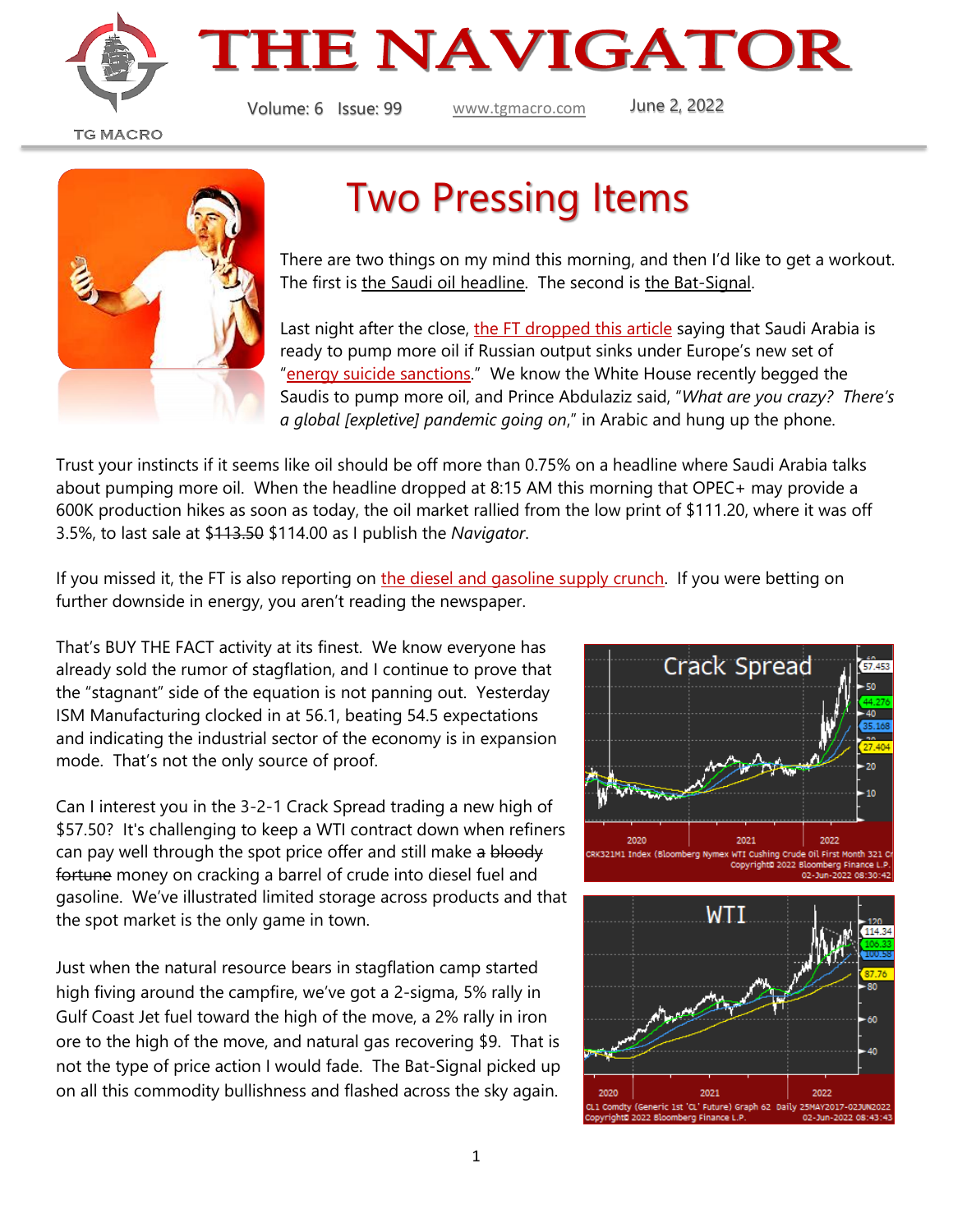



Volume: 6 Issue: 99 [www.tgmacro.com](http://www.tgmacro.com/) June 2, 2022

**TG MACRO** 



## Two Pressing Items

There are two things on my mind this morning, and then I'd like to get a workout. The first is the Saudi oil headline. The second is the Bat-Signal.

Last night after the close, [the FT dropped this article](https://www.ft.com/content/cf18ce69-e46a-4802-9058-1340c5a2c94d) saying that Saudi Arabia is ready to pump more oil if Russian output sinks under Europe's new set of "[energy suicide sanctions](https://www.brusselsreport.eu/2022/05/31/the-eu-is-paying-a-heavy-price-for-its-unilateral-energy-disarmament/)." We know the White House recently begged the Saudis to pump more oil, and Prince Abdulaziz said, "*What are you crazy? There's a global [expletive] pandemic going on*," in Arabic and hung up the phone.

Trust your instincts if it seems like oil should be off more than 0.75% on a headline where Saudi Arabia talks about pumping more oil. When the headline dropped at 8:15 AM this morning that OPEC+ may provide a 600K production hikes as soon as today, the oil market rallied from the low print of \$111.20, where it was off 3.5%, to last sale at \$113.50 \$114.00 as I publish the *Navigator*.

If you missed it, the FT is also reporting on [the diesel and gasoline supply crunch.](https://www.ft.com/content/792171d7-ae3c-469c-bac6-295fd217bd57) If you were betting on further downside in energy, you aren't reading the newspaper.

That's BUY THE FACT activity at its finest. We know everyone has already sold the rumor of stagflation, and I continue to prove that the "stagnant" side of the equation is not panning out. Yesterday ISM Manufacturing clocked in at 56.1, beating 54.5 expectations and indicating the industrial sector of the economy is in expansion mode. That's not the only source of proof.

Can I interest you in the 3-2-1 Crack Spread trading a new high of \$57.50? It's challenging to keep a WTI contract down when refiners can pay well through the spot price offer and still make a bloody fortune money on cracking a barrel of crude into diesel fuel and gasoline. We've illustrated limited storage across products and that the spot market is the only game in town.

Just when the natural resource bears in stagflation camp started high fiving around the campfire, we've got a 2-sigma, 5% rally in Gulf Coast Jet fuel toward the high of the move, a 2% rally in iron ore to the high of the move, and natural gas recovering \$9. That is not the type of price action I would fade. The Bat-Signal picked up on all this commodity bullishness and flashed across the sky again.



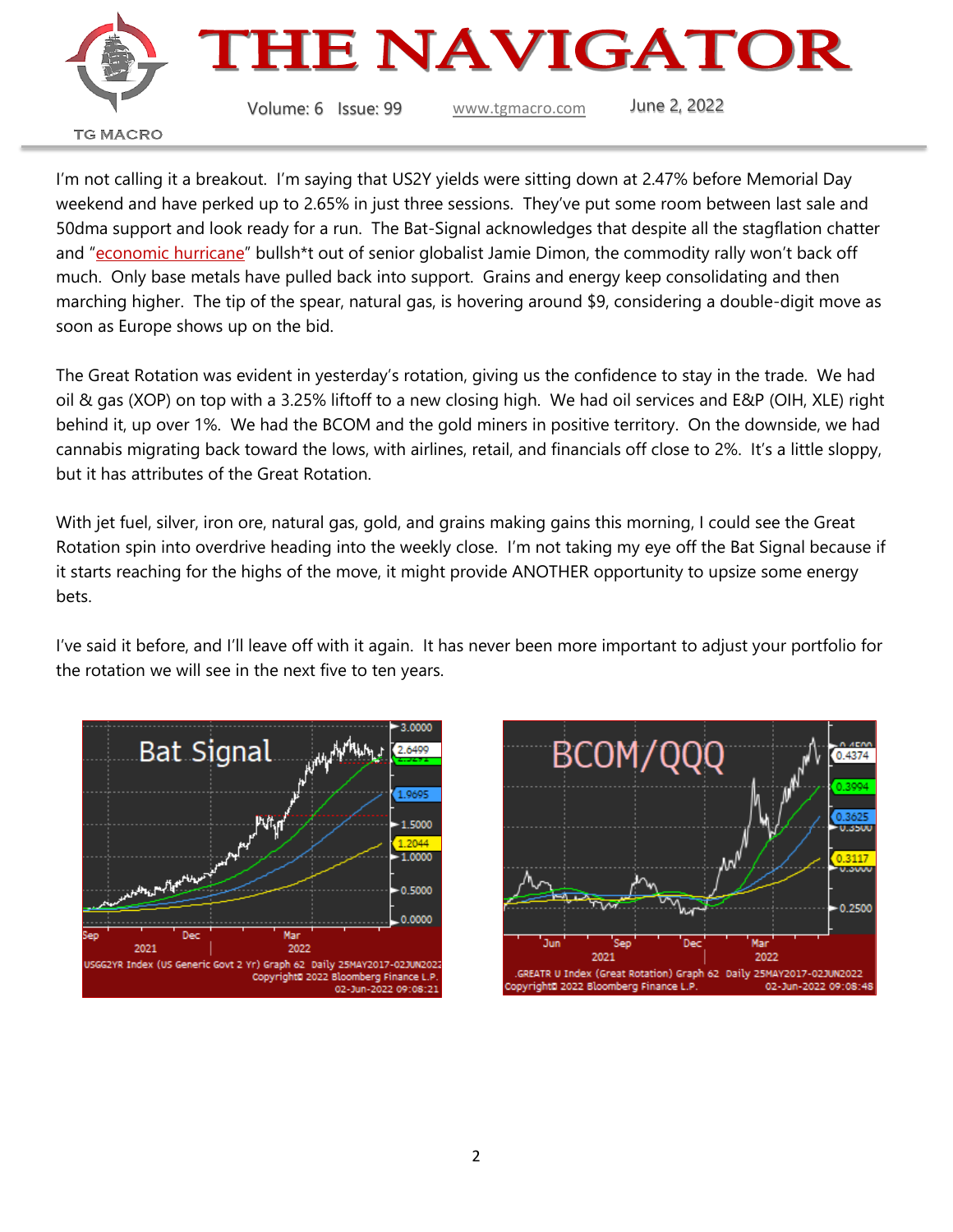

I'm not calling it a breakout. I'm saying that US2Y yields were sitting down at 2.47% before Memorial Day weekend and have perked up to 2.65% in just three sessions. They've put some room between last sale and 50dma support and look ready for a run. The Bat-Signal acknowledges that despite all the stagflation chatter and "[economic](https://www.cnn.com/2022/06/01/economy/jamie-dimon-jpmorgan-chase-economy/index.html) hurricane" bullsh\*t out of senior globalist Jamie Dimon, the commodity rally won't back off much. Only base metals have pulled back into support. Grains and energy keep consolidating and then marching higher. The tip of the spear, natural gas, is hovering around \$9, considering a double-digit move as soon as Europe shows up on the bid.

The Great Rotation was evident in yesterday's rotation, giving us the confidence to stay in the trade. We had oil & gas (XOP) on top with a 3.25% liftoff to a new closing high. We had oil services and E&P (OIH, XLE) right behind it, up over 1%. We had the BCOM and the gold miners in positive territory. On the downside, we had cannabis migrating back toward the lows, with airlines, retail, and financials off close to 2%. It's a little sloppy, but it has attributes of the Great Rotation.

With jet fuel, silver, iron ore, natural gas, gold, and grains making gains this morning, I could see the Great Rotation spin into overdrive heading into the weekly close. I'm not taking my eye off the Bat Signal because if it starts reaching for the highs of the move, it might provide ANOTHER opportunity to upsize some energy bets.

I've said it before, and I'll leave off with it again. It has never been more important to adjust your portfolio for the rotation we will see in the next five to ten years.



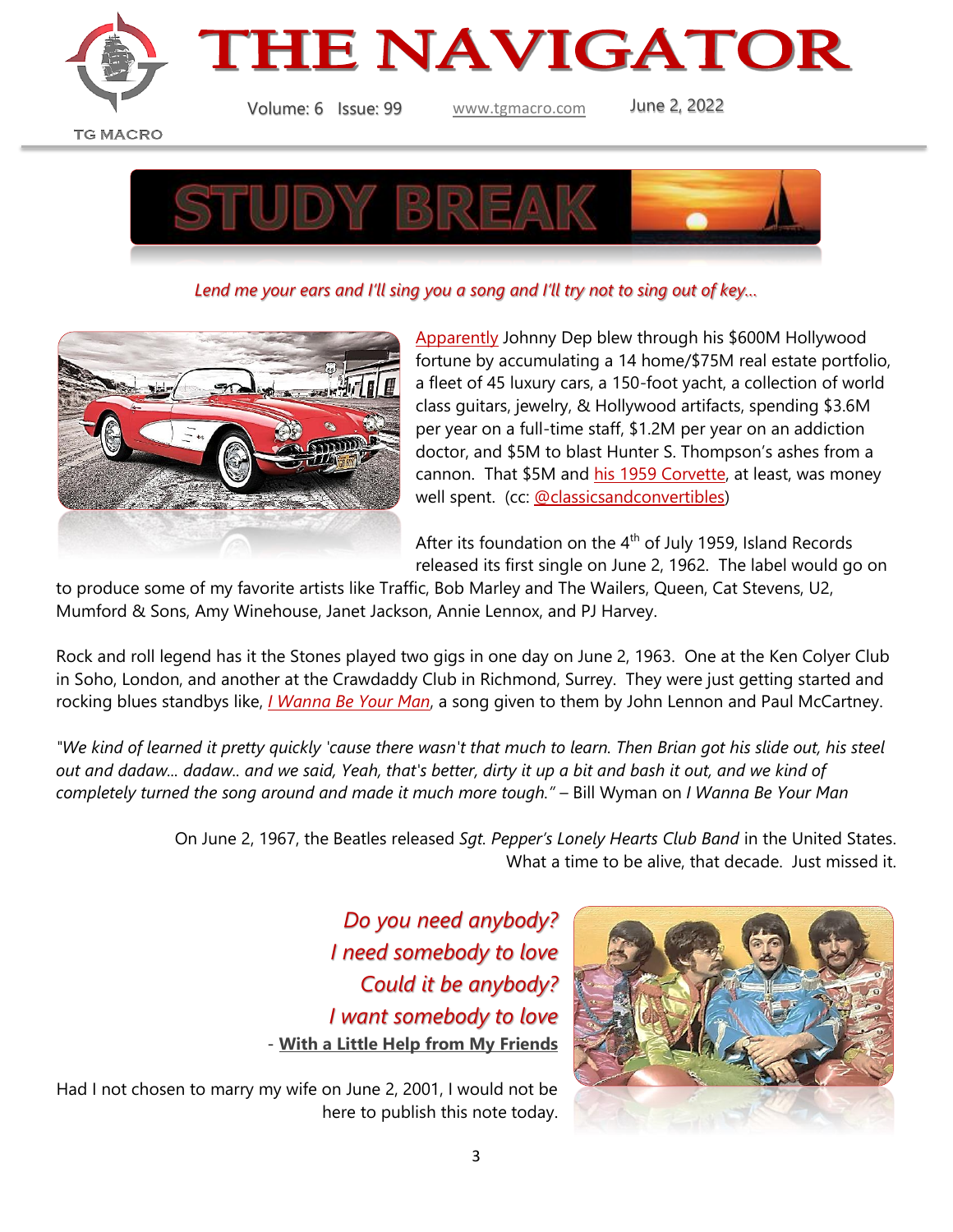



Volume: 6 Issue: 99 [www.tgmacro.com](http://www.tgmacro.com/) June 2, 2022

**TG MACRO** 



*Lend me your ears and I'll sing you a song and I'll try not to sing out of key…*



[Apparently](https://www.dailymail.co.uk/news/article-10871351/Johnny-Depp-600m-ended-debt.html) Johnny Dep blew through his \$600M Hollywood fortune by accumulating a 14 home/\$75M real estate portfolio, a fleet of 45 luxury cars, a 150-foot yacht, a collection of world class guitars, jewelry, & Hollywood artifacts, spending \$3.6M per year on a full-time staff, \$1.2M per year on an addiction doctor, and \$5M to blast Hunter S. Thompson's ashes from a cannon. That \$5M and [his 1959 Corvette,](https://www.hotcars.com/heres-what-johnny-depp-drives/) at least, was money well spent. (cc: [@classicsandconvertibles\)](https://www.instagram.com/classicsandconvertibles/)

After its foundation on the  $4<sup>th</sup>$  of July 1959, Island Records released its first single on June 2, 1962. The label would go on

to produce some of my favorite artists like Traffic, Bob Marley and The Wailers, Queen, Cat Stevens, U2, Mumford & Sons, Amy Winehouse, Janet Jackson, Annie Lennox, and PJ Harvey.

Rock and roll legend has it the Stones played two gigs in one day on June 2, 1963. One at the Ken Colyer Club in Soho, London, and another at the Crawdaddy Club in Richmond, Surrey. They were just getting started and rocking blues standbys like, *[I Wanna Be Your Man](https://www.youtube.com/watch?v=0VIrCCL0XqY)*, a song given to them by John Lennon and Paul McCartney.

*"We kind of learned it pretty quickly 'cause there wasn't that much to learn. Then Brian got his slide out, his steel out and dadaw... dadaw.. and we said, Yeah, that's better, dirty it up a bit and bash it out, and we kind of completely turned the song around and made it much more tough."* – Bill Wyman on *I Wanna Be Your Man*

> On June 2, 1967, the Beatles released *Sgt. Pepper's Lonely Hearts Club Band* in the United States. What a time to be alive, that decade. Just missed it.

> > *Do you need anybody? I need somebody to love Could it be anybody? I want somebody to love* - **[With a Little Help from My Friends](https://www.youtube.com/watch?v=byUTLI1XjOg&list=OLAK5uy_kXTCtXTKA6DMJOSGKweNRGC0aoPn1iBF8&index=2)**



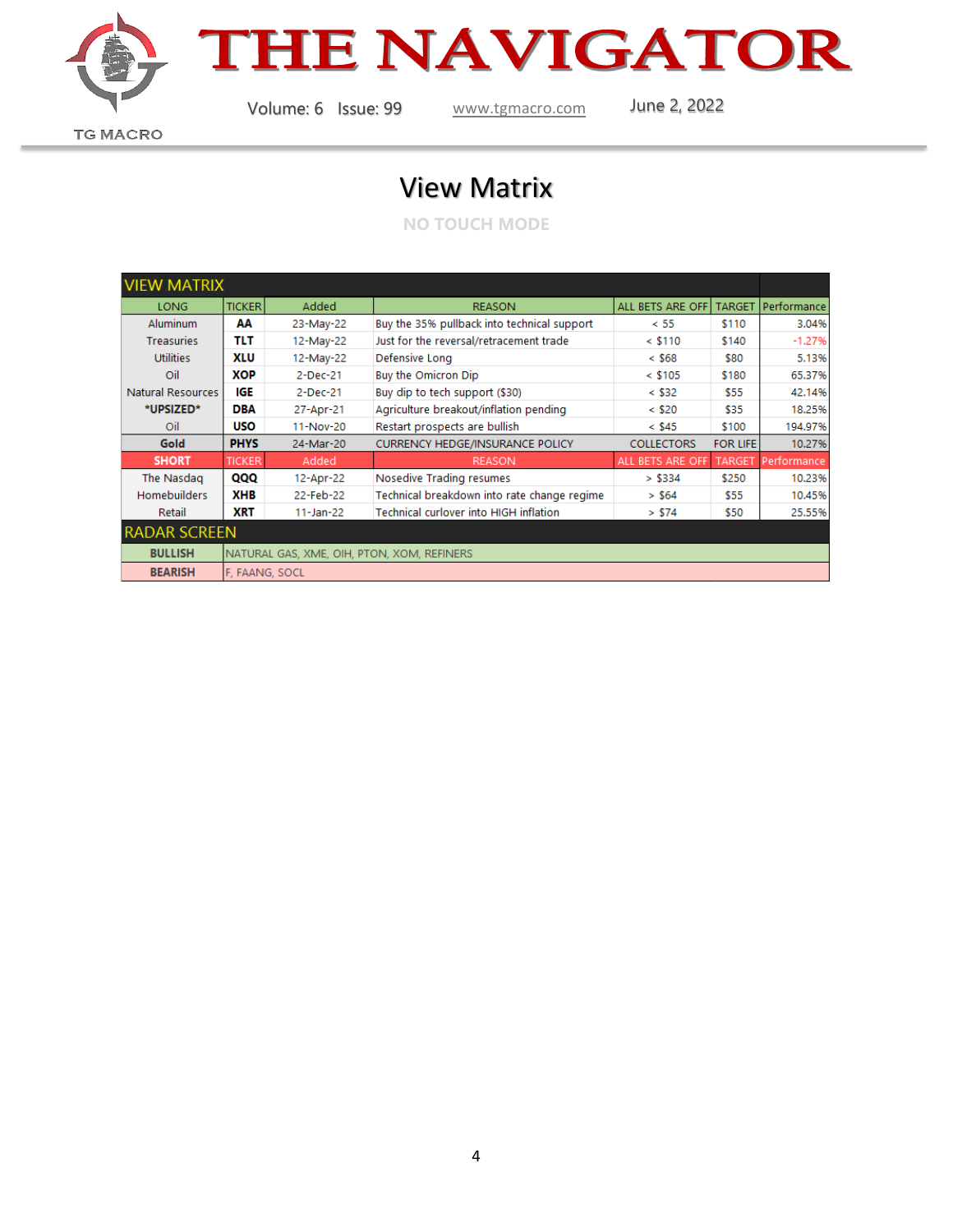

## **THE NAVIGATOR**

Volume: 6 Issue: 99 [www.tgmacro.com](http://www.tgmacro.com/) June 2, 2022

**TG MACRO** 

## View Matrix

**NO TOUCH MODE**

| <b>VIEW MATRIX</b>  |                                            |               |                                             |                   |                 |             |
|---------------------|--------------------------------------------|---------------|---------------------------------------------|-------------------|-----------------|-------------|
| LONG                | <b>TICKER</b>                              | Added         | <b>REASON</b>                               | ALL BETS ARE OFF  | <b>TARGET</b>   | Performance |
| <b>Aluminum</b>     | AA                                         | 23-May-22     | Buy the 35% pullback into technical support | < 55              | \$110           | 3.04%       |
| <b>Treasuries</b>   | TLT                                        | 12-May-22     | Just for the reversal/retracement trade     | $<$ \$110         | \$140           | $-1.27%$    |
| <b>Utilities</b>    | XLU                                        | 12-May-22     | Defensive Long                              | $<$ \$68          | \$80            | 5.13%       |
| Oil                 | XOP                                        | $2$ -Dec-21   | Buy the Omicron Dip                         | $<$ \$105         | \$180           | 65.37%      |
| Natural Resources   | IGE                                        | 2-Dec-21      | Buy dip to tech support (\$30)              | $<$ \$32          | \$55            | 42.14%      |
| *UPSIZED*           | DBA                                        | 27-Apr-21     | Agriculture breakout/inflation pending      | $<$ \$20          | \$35            | 18.25%      |
| Oil                 | <b>USO</b>                                 | 11-Nov-20     | Restart prospects are bullish               | $<$ \$45          | \$100           | 194.97%     |
| Gold                | <b>PHYS</b>                                | 24-Mar-20     | <b>CURRENCY HEDGE/INSURANCE POLICY</b>      | <b>COLLECTORS</b> | <b>FOR LIFE</b> | 10.27%      |
| <b>SHORT</b>        | <b>TICKER</b>                              | Added         | <b>REASON</b>                               | ALL BETS ARE OFF  | <b>TARGET</b>   | Performance |
| The Nasdag          | QQQ                                        | 12-Apr-22     | Nosedive Trading resumes                    | > \$334           | \$250           | 10.23%      |
| <b>Homebuilders</b> | XHB                                        | 22-Feb-22     | Technical breakdown into rate change regime | > \$64            | \$55            | 10.45%      |
| Retail              | <b>XRT</b>                                 | $11 - Jan-22$ | Technical curlover into HIGH inflation      | > \$74            | \$50            | 25.55%      |
| <b>RADAR SCREEN</b> |                                            |               |                                             |                   |                 |             |
| <b>BULLISH</b>      | NATURAL GAS, XME, OIH, PTON, XOM, REFINERS |               |                                             |                   |                 |             |
| <b>BEARISH</b>      | F. FAANG, SOCL                             |               |                                             |                   |                 |             |